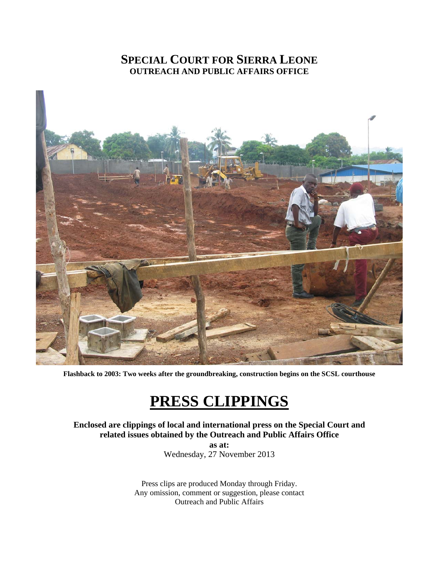## **SPECIAL COURT FOR SIERRA LEONE OUTREACH AND PUBLIC AFFAIRS OFFICE**



**Flashback to 2003: Two weeks after the groundbreaking, construction begins on the SCSL courthouse**

## **PRESS CLIPPINGS**

**Enclosed are clippings of local and international press on the Special Court and related issues obtained by the Outreach and Public Affairs Office as at:** 

Wednesday, 27 November 2013

Press clips are produced Monday through Friday. Any omission, comment or suggestion, please contact Outreach and Public Affairs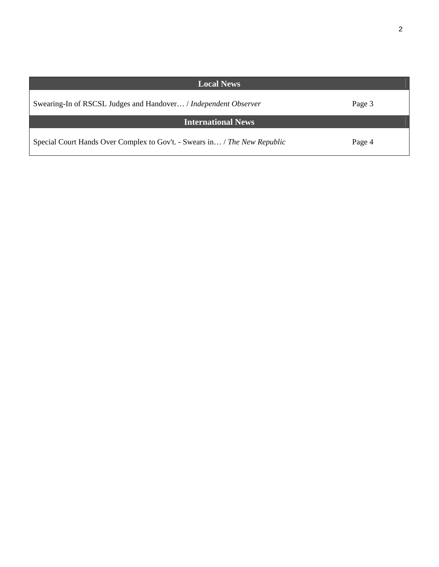| <b>Local News</b>                                                         |        |
|---------------------------------------------------------------------------|--------|
| Swearing-In of RSCSL Judges and Handover / Independent Observer           | Page 3 |
| <b>International News</b>                                                 |        |
| Special Court Hands Over Complex to Gov't. - Swears in / The New Republic | Page 4 |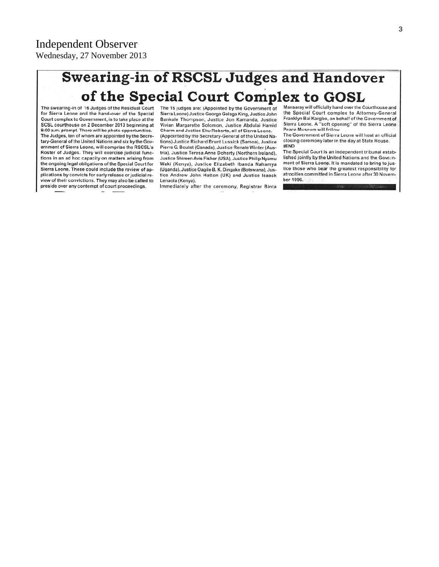## **Swearing-in of RSCSL Judges and Handover** of the Special Court Complex to GOSL

The swearing-in of 16 Judges of the Residual Court for Sierra Leone and the hand-over of the Special Court complex to Government, is to take place at the SCSL courthouse on 2 December 2013 beginning at 9:00 a.m. prompt. There will be photo opportunities. The Judges, ten of whom are appointed by the Secretary-General of the United Nations and six by the Government of Sierra Leone, will comprise the RSCSL's Roster of Judges. They will exercise judicial functions in an ad hoc capacity on matters arising from the ongoing legal obligations of the Special Court for Sierra Leone. These could include the review of applications by convicts for early release or judicial review of their convictions. They may also be called to preside over any contempt of court proceedings.

The 16 judges are: (Appointed by the Government of Sierra Leone) Justice George Gelaga King, Justice John Bankole Thompson, Justice Jon Kamanda, Justice Vivian Margarette Solomon, Justice Abdulai Hamid Charm and Justice Eku Roberts, all of Sicrra Leone. (Appointed by the Secretary-General of the United Nations) Justice Richard Brunt Lussick (Samoa), Justice Pierre G. Boutet (Canada), Justice Renate Winter (Austria), Justice Teresa Anne Doherty (Northern Ireland), Justice Shireen Avis Fisher (USA), Justice Philip Nyamu Waki (Kenya), Justice Elizabeth Ibanda Nahamya (Uganda), Justice Oagile B. K. Dingake (Botswana), Justice Andrew John Hatton (UK) and Justice Isaack Lenaola (Kenya).

Immediately after the ceremony, Registrar Binta

Mansaray will officially hand over the Courthouse and the Special Court complex to Attorney-General Franklyn Bai Kargbo, on behalf of the Government of Sierra Leone. A "soft opening" of the Sierra Leone Peace Museum will follow.

The Government of Sierra Leone will host an official closing ceremony later in the day at State House. #END

The Special Court is an independent tribunal established jointly by the United Nations and the Government of Sierra Leone. It is mandated to bring to justice those who bear the greatest responsibility for atrocities committed in Sierra Leone after 30 November 1996.